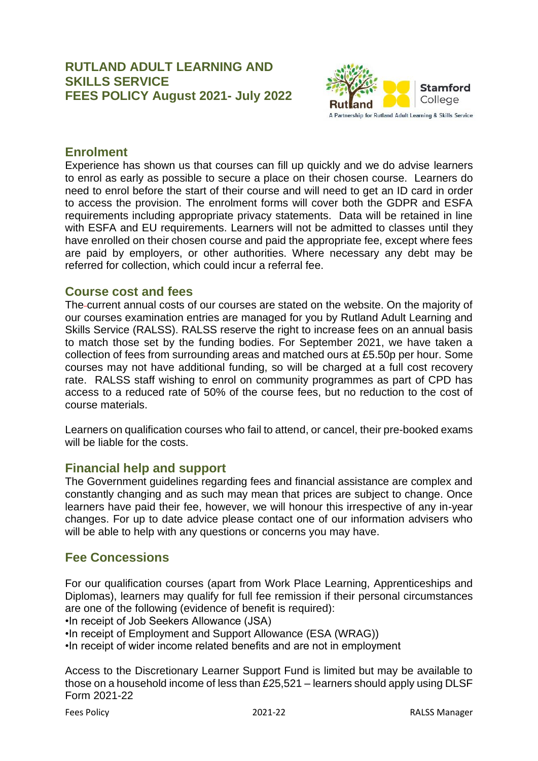## **RUTLAND ADULT LEARNING AND SKILLS SERVICE FEES POLICY August 2021- July 2022**



## **Enrolment**

Experience has shown us that courses can fill up quickly and we do advise learners to enrol as early as possible to secure a place on their chosen course. Learners do need to enrol before the start of their course and will need to get an ID card in order to access the provision. The enrolment forms will cover both the GDPR and ESFA requirements including appropriate privacy statements. Data will be retained in line with ESFA and EU requirements. Learners will not be admitted to classes until they have enrolled on their chosen course and paid the appropriate fee, except where fees are paid by employers, or other authorities. Where necessary any debt may be referred for collection, which could incur a referral fee.

### **Course cost and fees**

The current annual costs of our courses are stated on the website. On the majority of our courses examination entries are managed for you by Rutland Adult Learning and Skills Service (RALSS). RALSS reserve the right to increase fees on an annual basis to match those set by the funding bodies. For September 2021, we have taken a collection of fees from surrounding areas and matched ours at £5.50p per hour. Some courses may not have additional funding, so will be charged at a full cost recovery rate. RALSS staff wishing to enrol on community programmes as part of CPD has access to a reduced rate of 50% of the course fees, but no reduction to the cost of course materials.

Learners on qualification courses who fail to attend, or cancel, their pre-booked exams will be liable for the costs.

# **Financial help and support**

The Government guidelines regarding fees and financial assistance are complex and constantly changing and as such may mean that prices are subject to change. Once learners have paid their fee, however, we will honour this irrespective of any in-year changes. For up to date advice please contact one of our information advisers who will be able to help with any questions or concerns you may have.

# **Fee Concessions**

For our qualification courses (apart from Work Place Learning, Apprenticeships and Diplomas), learners may qualify for full fee remission if their personal circumstances are one of the following (evidence of benefit is required):

•In receipt of Job Seekers Allowance (JSA)

•In receipt of Employment and Support Allowance (ESA (WRAG))

•In receipt of wider income related benefits and are not in employment

Access to the Discretionary Learner Support Fund is limited but may be available to those on a household income of less than £25,521 – learners should apply using DLSF Form 2021-22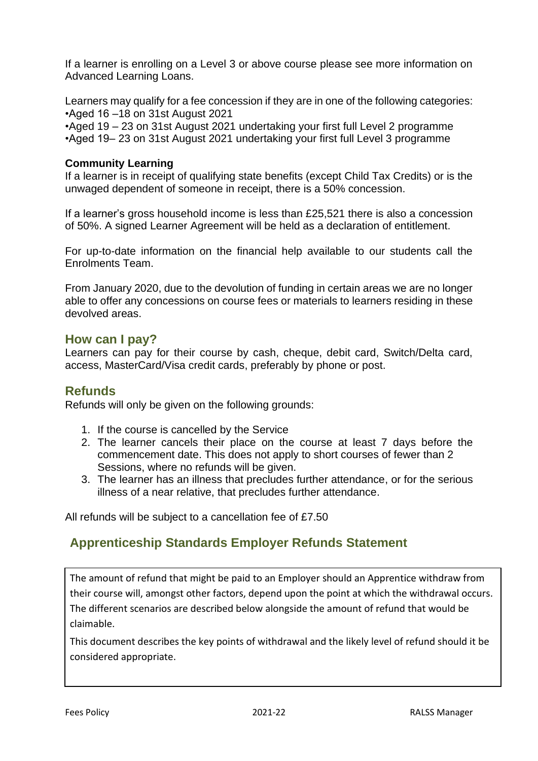If a learner is enrolling on a Level 3 or above course please see more information on Advanced Learning Loans.

Learners may qualify for a fee concession if they are in one of the following categories: •Aged 16 –18 on 31st August 2021

•Aged 19 – 23 on 31st August 2021 undertaking your first full Level 2 programme •Aged 19– 23 on 31st August 2021 undertaking your first full Level 3 programme

### **Community Learning**

If a learner is in receipt of qualifying state benefits (except Child Tax Credits) or is the unwaged dependent of someone in receipt, there is a 50% concession.

If a learner's gross household income is less than £25,521 there is also a concession of 50%. A signed Learner Agreement will be held as a declaration of entitlement.

For up-to-date information on the financial help available to our students call the Enrolments Team.

From January 2020, due to the devolution of funding in certain areas we are no longer able to offer any concessions on course fees or materials to learners residing in these devolved areas.

### **How can I pay?**

Learners can pay for their course by cash, cheque, debit card, Switch/Delta card, access, MasterCard/Visa credit cards, preferably by phone or post.

# **Refunds**

Refunds will only be given on the following grounds:

- 1. If the course is cancelled by the Service
- 2. The learner cancels their place on the course at least 7 days before the commencement date. This does not apply to short courses of fewer than 2 Sessions, where no refunds will be given.
- 3. The learner has an illness that precludes further attendance, or for the serious illness of a near relative, that precludes further attendance.

All refunds will be subject to a cancellation fee of £7.50

# **Apprenticeship Standards Employer Refunds Statement**

The amount of refund that might be paid to an Employer should an Apprentice withdraw from their course will, amongst other factors, depend upon the point at which the withdrawal occurs. The different scenarios are described below alongside the amount of refund that would be claimable.

This document describes the key points of withdrawal and the likely level of refund should it be considered appropriate.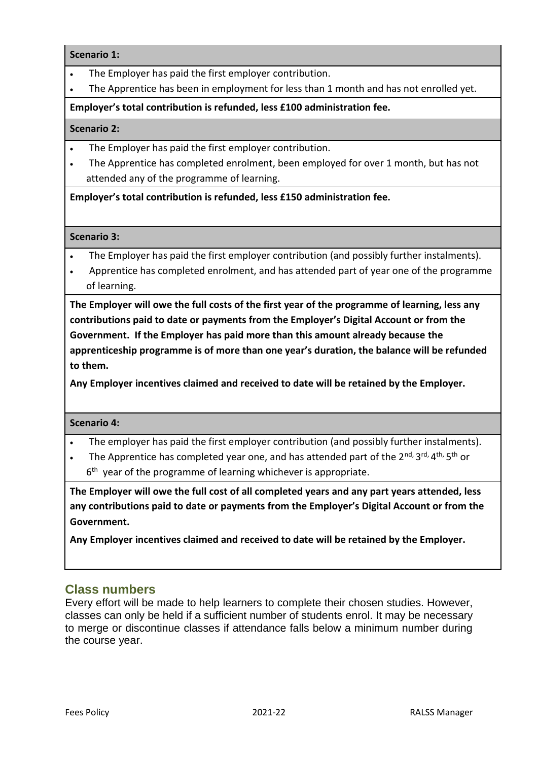#### **Scenario 1:**

- The Employer has paid the first employer contribution.
- The Apprentice has been in employment for less than 1 month and has not enrolled yet.

### **Employer's total contribution is refunded, less £100 administration fee.**

#### **Scenario 2:**

- The Employer has paid the first employer contribution.
- The Apprentice has completed enrolment, been employed for over 1 month, but has not attended any of the programme of learning.

#### **Employer's total contribution is refunded, less £150 administration fee.**

#### **Scenario 3:**

- The Employer has paid the first employer contribution (and possibly further instalments).
- Apprentice has completed enrolment, and has attended part of year one of the programme of learning.

**The Employer will owe the full costs of the first year of the programme of learning, less any contributions paid to date or payments from the Employer's Digital Account or from the Government. If the Employer has paid more than this amount already because the apprenticeship programme is of more than one year's duration, the balance will be refunded to them.** 

**Any Employer incentives claimed and received to date will be retained by the Employer.**

#### **Scenario 4:**

- The employer has paid the first employer contribution (and possibly further instalments).
- The Apprentice has completed year one, and has attended part of the 2<sup>nd, 3rd, 4th, 5th</sup> or
- 6<sup>th</sup> year of the programme of learning whichever is appropriate.

**The Employer will owe the full cost of all completed years and any part years attended, less any contributions paid to date or payments from the Employer's Digital Account or from the Government.**

**Any Employer incentives claimed and received to date will be retained by the Employer.** 

### **Class numbers**

Every effort will be made to help learners to complete their chosen studies. However, classes can only be held if a sufficient number of students enrol. It may be necessary to merge or discontinue classes if attendance falls below a minimum number during the course year.